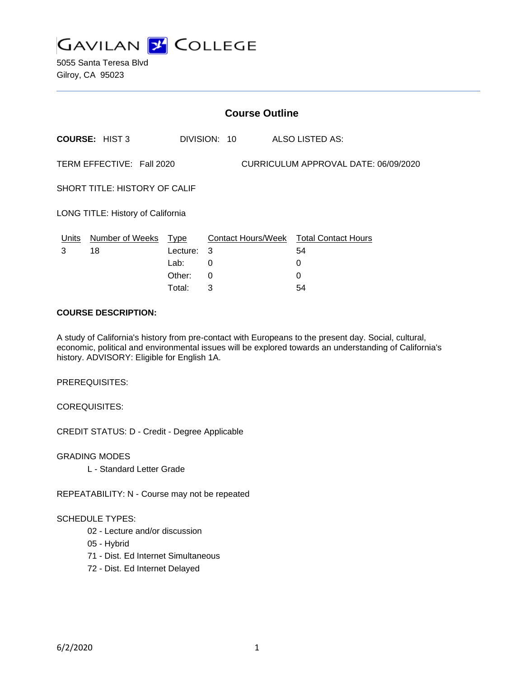

5055 Santa Teresa Blvd Gilroy, CA 95023

|                                                                   | <b>Course Outline</b> |          |              |                                        |  |
|-------------------------------------------------------------------|-----------------------|----------|--------------|----------------------------------------|--|
|                                                                   | <b>COURSE: HIST 3</b> |          | DIVISION: 10 | ALSO LISTED AS:                        |  |
| TERM EFFECTIVE: Fall 2020<br>CURRICULUM APPROVAL DATE: 06/09/2020 |                       |          |              |                                        |  |
| SHORT TITLE: HISTORY OF CALIF                                     |                       |          |              |                                        |  |
| LONG TITLE: History of California                                 |                       |          |              |                                        |  |
| <u>Units</u>                                                      | Number of Weeks Type  |          |              | Contact Hours/Week Total Contact Hours |  |
| 3                                                                 | 18                    | Lecture: | 3            | 54                                     |  |
|                                                                   |                       | Lab:     | 0            | 0                                      |  |
|                                                                   |                       | Other:   | $\Omega$     | $\Omega$                               |  |
|                                                                   |                       | Total:   | 3            | 54                                     |  |

#### **COURSE DESCRIPTION:**

A study of California's history from pre-contact with Europeans to the present day. Social, cultural, economic, political and environmental issues will be explored towards an understanding of California's history. ADVISORY: Eligible for English 1A.

PREREQUISITES:

COREQUISITES:

CREDIT STATUS: D - Credit - Degree Applicable

GRADING MODES

L - Standard Letter Grade

REPEATABILITY: N - Course may not be repeated

#### SCHEDULE TYPES:

- 02 Lecture and/or discussion
- 05 Hybrid
- 71 Dist. Ed Internet Simultaneous
- 72 Dist. Ed Internet Delayed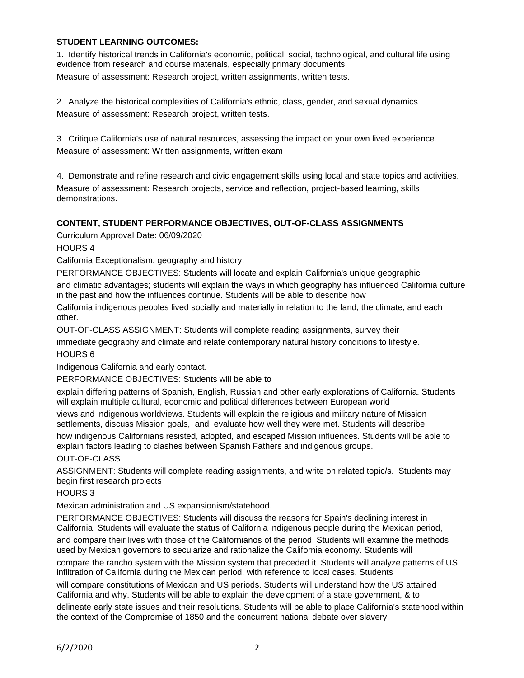## **STUDENT LEARNING OUTCOMES:**

1. Identify historical trends in California's economic, political, social, technological, and cultural life using evidence from research and course materials, especially primary documents Measure of assessment: Research project, written assignments, written tests.

2. Analyze the historical complexities of California's ethnic, class, gender, and sexual dynamics. Measure of assessment: Research project, written tests.

3. Critique California's use of natural resources, assessing the impact on your own lived experience. Measure of assessment: Written assignments, written exam

4. Demonstrate and refine research and civic engagement skills using local and state topics and activities. Measure of assessment: Research projects, service and reflection, project-based learning, skills demonstrations.

## **CONTENT, STUDENT PERFORMANCE OBJECTIVES, OUT-OF-CLASS ASSIGNMENTS**

Curriculum Approval Date: 06/09/2020

HOURS 4

California Exceptionalism: geography and history.

PERFORMANCE OBJECTIVES: Students will locate and explain California's unique geographic

and climatic advantages; students will explain the ways in which geography has influenced California culture in the past and how the influences continue. Students will be able to describe how

California indigenous peoples lived socially and materially in relation to the land, the climate, and each other.

OUT-OF-CLASS ASSIGNMENT: Students will complete reading assignments, survey their

immediate geography and climate and relate contemporary natural history conditions to lifestyle. HOURS 6

Indigenous California and early contact.

PERFORMANCE OBJECTIVES: Students will be able to

explain differing patterns of Spanish, English, Russian and other early explorations of California. Students will explain multiple cultural, economic and political differences between European world

views and indigenous worldviews. Students will explain the religious and military nature of Mission settlements, discuss Mission goals, and evaluate how well they were met. Students will describe

how indigenous Californians resisted, adopted, and escaped Mission influences. Students will be able to explain factors leading to clashes between Spanish Fathers and indigenous groups.

OUT-OF-CLASS

ASSIGNMENT: Students will complete reading assignments, and write on related topic/s. Students may begin first research projects

HOURS 3

Mexican administration and US expansionism/statehood.

PERFORMANCE OBJECTIVES: Students will discuss the reasons for Spain's declining interest in California. Students will evaluate the status of California indigenous people during the Mexican period, and compare their lives with those of the Californianos of the period. Students will examine the methods used by Mexican governors to secularize and rationalize the California economy. Students will

compare the rancho system with the Mission system that preceded it. Students will analyze patterns of US infiltration of California during the Mexican period, with reference to local cases. Students

will compare constitutions of Mexican and US periods. Students will understand how the US attained California and why. Students will be able to explain the development of a state government, & to

delineate early state issues and their resolutions. Students will be able to place California's statehood within the context of the Compromise of 1850 and the concurrent national debate over slavery.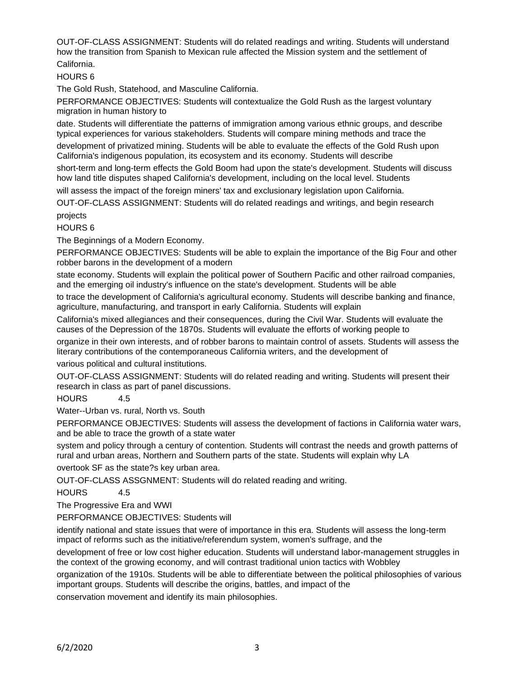OUT-OF-CLASS ASSIGNMENT: Students will do related readings and writing. Students will understand how the transition from Spanish to Mexican rule affected the Mission system and the settlement of California.

HOURS 6

The Gold Rush, Statehood, and Masculine California.

PERFORMANCE OBJECTIVES: Students will contextualize the Gold Rush as the largest voluntary migration in human history to

date. Students will differentiate the patterns of immigration among various ethnic groups, and describe typical experiences for various stakeholders. Students will compare mining methods and trace the

development of privatized mining. Students will be able to evaluate the effects of the Gold Rush upon California's indigenous population, its ecosystem and its economy. Students will describe

short-term and long-term effects the Gold Boom had upon the state's development. Students will discuss how land title disputes shaped California's development, including on the local level. Students

will assess the impact of the foreign miners' tax and exclusionary legislation upon California.

OUT-OF-CLASS ASSIGNMENT: Students will do related readings and writings, and begin research projects

HOURS 6

The Beginnings of a Modern Economy.

PERFORMANCE OBJECTIVES: Students will be able to explain the importance of the Big Four and other robber barons in the development of a modern

state economy. Students will explain the political power of Southern Pacific and other railroad companies, and the emerging oil industry's influence on the state's development. Students will be able

to trace the development of California's agricultural economy. Students will describe banking and finance, agriculture, manufacturing, and transport in early California. Students will explain

California's mixed allegiances and their consequences, during the Civil War. Students will evaluate the causes of the Depression of the 1870s. Students will evaluate the efforts of working people to

organize in their own interests, and of robber barons to maintain control of assets. Students will assess the literary contributions of the contemporaneous California writers, and the development of

various political and cultural institutions.

OUT-OF-CLASS ASSIGNMENT: Students will do related reading and writing. Students will present their research in class as part of panel discussions.

HOURS 4.5

Water--Urban vs. rural, North vs. South

PERFORMANCE OBJECTIVES: Students will assess the development of factions in California water wars, and be able to trace the growth of a state water

system and policy through a century of contention. Students will contrast the needs and growth patterns of rural and urban areas, Northern and Southern parts of the state. Students will explain why LA

overtook SF as the state?s key urban area.

OUT-OF-CLASS ASSGNMENT: Students will do related reading and writing.

HOURS 4.5

The Progressive Era and WWI

PERFORMANCE OBJECTIVES: Students will

identify national and state issues that were of importance in this era. Students will assess the long-term impact of reforms such as the initiative/referendum system, women's suffrage, and the

development of free or low cost higher education. Students will understand labor-management struggles in the context of the growing economy, and will contrast traditional union tactics with Wobbley

organization of the 1910s. Students will be able to differentiate between the political philosophies of various important groups. Students will describe the origins, battles, and impact of the

conservation movement and identify its main philosophies.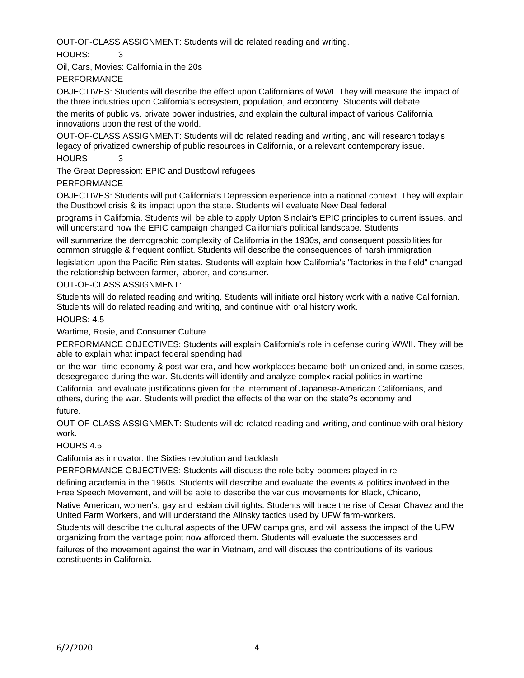OUT-OF-CLASS ASSIGNMENT: Students will do related reading and writing.

HOURS: 3

Oil, Cars, Movies: California in the 20s

PERFORMANCE

OBJECTIVES: Students will describe the effect upon Californians of WWI. They will measure the impact of the three industries upon California's ecosystem, population, and economy. Students will debate

the merits of public vs. private power industries, and explain the cultural impact of various California innovations upon the rest of the world.

OUT-OF-CLASS ASSIGNMENT: Students will do related reading and writing, and will research today's legacy of privatized ownership of public resources in California, or a relevant contemporary issue. HOURS 3

The Great Depression: EPIC and Dustbowl refugees

PERFORMANCE

OBJECTIVES: Students will put California's Depression experience into a national context. They will explain the Dustbowl crisis & its impact upon the state. Students will evaluate New Deal federal

programs in California. Students will be able to apply Upton Sinclair's EPIC principles to current issues, and will understand how the EPIC campaign changed California's political landscape. Students

will summarize the demographic complexity of California in the 1930s, and consequent possibilities for common struggle & frequent conflict. Students will describe the consequences of harsh immigration

legislation upon the Pacific Rim states. Students will explain how California's "factories in the field" changed the relationship between farmer, laborer, and consumer.

OUT-OF-CLASS ASSIGNMENT:

Students will do related reading and writing. Students will initiate oral history work with a native Californian. Students will do related reading and writing, and continue with oral history work.

HOURS: 4.5

Wartime, Rosie, and Consumer Culture

PERFORMANCE OBJECTIVES: Students will explain California's role in defense during WWII. They will be able to explain what impact federal spending had

on the war- time economy & post-war era, and how workplaces became both unionized and, in some cases, desegregated during the war. Students will identify and analyze complex racial politics in wartime

California, and evaluate justifications given for the internment of Japanese-American Californians, and others, during the war. Students will predict the effects of the war on the state?s economy and future.

OUT-OF-CLASS ASSIGNMENT: Students will do related reading and writing, and continue with oral history work.

# HOURS 4.5

California as innovator: the Sixties revolution and backlash

PERFORMANCE OBJECTIVES: Students will discuss the role baby-boomers played in re-

defining academia in the 1960s. Students will describe and evaluate the events & politics involved in the Free Speech Movement, and will be able to describe the various movements for Black, Chicano,

Native American, women's, gay and lesbian civil rights. Students will trace the rise of Cesar Chavez and the United Farm Workers, and will understand the Alinsky tactics used by UFW farm-workers.

Students will describe the cultural aspects of the UFW campaigns, and will assess the impact of the UFW organizing from the vantage point now afforded them. Students will evaluate the successes and

failures of the movement against the war in Vietnam, and will discuss the contributions of its various constituents in California.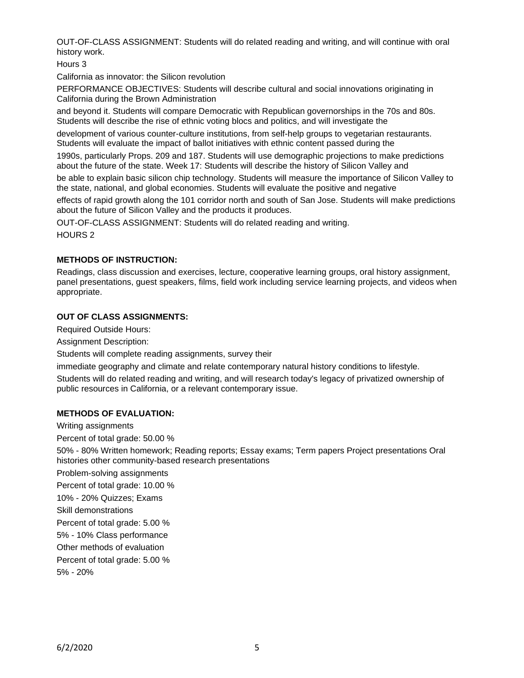OUT-OF-CLASS ASSIGNMENT: Students will do related reading and writing, and will continue with oral history work.

Hours 3

California as innovator: the Silicon revolution

PERFORMANCE OBJECTIVES: Students will describe cultural and social innovations originating in California during the Brown Administration

and beyond it. Students will compare Democratic with Republican governorships in the 70s and 80s. Students will describe the rise of ethnic voting blocs and politics, and will investigate the

development of various counter-culture institutions, from self-help groups to vegetarian restaurants. Students will evaluate the impact of ballot initiatives with ethnic content passed during the

1990s, particularly Props. 209 and 187. Students will use demographic projections to make predictions about the future of the state. Week 17: Students will describe the history of Silicon Valley and

be able to explain basic silicon chip technology. Students will measure the importance of Silicon Valley to the state, national, and global economies. Students will evaluate the positive and negative

effects of rapid growth along the 101 corridor north and south of San Jose. Students will make predictions about the future of Silicon Valley and the products it produces.

OUT-OF-CLASS ASSIGNMENT: Students will do related reading and writing.

HOURS 2

#### **METHODS OF INSTRUCTION:**

Readings, class discussion and exercises, lecture, cooperative learning groups, oral history assignment, panel presentations, guest speakers, films, field work including service learning projects, and videos when appropriate.

## **OUT OF CLASS ASSIGNMENTS:**

Required Outside Hours:

Assignment Description:

Students will complete reading assignments, survey their

immediate geography and climate and relate contemporary natural history conditions to lifestyle.

Students will do related reading and writing, and will research today's legacy of privatized ownership of public resources in California, or a relevant contemporary issue.

#### **METHODS OF EVALUATION:**

Writing assignments

Percent of total grade: 50.00 %

50% - 80% Written homework; Reading reports; Essay exams; Term papers Project presentations Oral histories other community-based research presentations

Problem-solving assignments

Percent of total grade: 10.00 %

10% - 20% Quizzes; Exams

Skill demonstrations

Percent of total grade: 5.00 %

5% - 10% Class performance

Other methods of evaluation

Percent of total grade: 5.00 %

5% - 20%